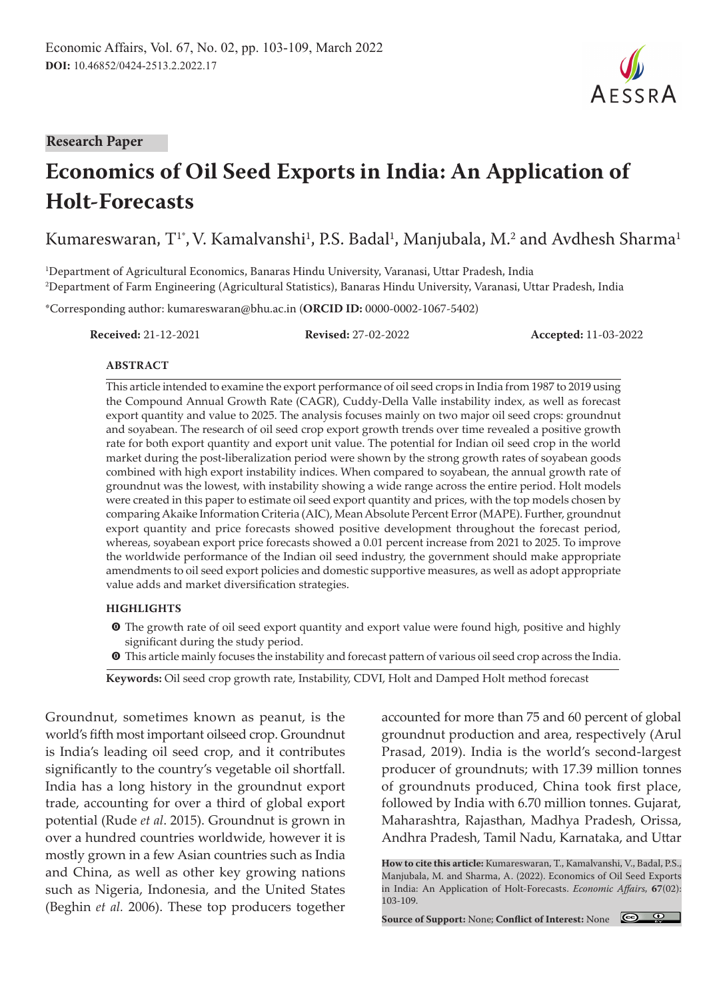**Research Paper**

# **Economics of Oil Seed Exports in India: An Application of Holt-Forecasts**

Kumareswaran, T $^{\textrm{\text{!`}}},$  V. Kamalvanshi $^{\textrm{\text{!`}}},$  P.S. Badal $^{\textrm{\text{!`}}},$  Manjubala, M. $^{\textrm{\text{!`}}}$  and Avdhesh Sharma $^{\textrm{\text{!`}}}$ 

1 Department of Agricultural Economics, Banaras Hindu University, Varanasi, Uttar Pradesh, India 2 Department of Farm Engineering (Agricultural Statistics), Banaras Hindu University, Varanasi, Uttar Pradesh, India

\*Corresponding author: kumareswaran@bhu.ac.in (**ORCID ID:** 0000-0002-1067-5402)

**Received:** 21-12-2021 **Revised:** 27-02-2022 **Accepted:** 11-03-2022

## **ABSTRACT**

This article intended to examine the export performance of oil seed crops in India from 1987 to 2019 using the Compound Annual Growth Rate (CAGR), Cuddy-Della Valle instability index, as well as forecast export quantity and value to 2025. The analysis focuses mainly on two major oil seed crops: groundnut and soyabean. The research of oil seed crop export growth trends over time revealed a positive growth rate for both export quantity and export unit value. The potential for Indian oil seed crop in the world market during the post-liberalization period were shown by the strong growth rates of soyabean goods combined with high export instability indices. When compared to soyabean, the annual growth rate of groundnut was the lowest, with instability showing a wide range across the entire period. Holt models were created in this paper to estimate oil seed export quantity and prices, with the top models chosen by comparing Akaike Information Criteria (AIC), Mean Absolute Percent Error (MAPE). Further, groundnut export quantity and price forecasts showed positive development throughout the forecast period, whereas, soyabean export price forecasts showed a 0.01 percent increase from 2021 to 2025. To improve the worldwide performance of the Indian oil seed industry, the government should make appropriate amendments to oil seed export policies and domestic supportive measures, as well as adopt appropriate value adds and market diversification strategies.

### **HIGHLIGHTS**

- $\odot$  The growth rate of oil seed export quantity and export value were found high, positive and highly significant during the study period.
- m This article mainly focuses the instability and forecast pattern of various oil seed crop across the India.

**Keywords:** Oil seed crop growth rate, Instability, CDVI, Holt and Damped Holt method forecast

Groundnut, sometimes known as peanut, is the world's fifth most important oilseed crop. Groundnut is India's leading oil seed crop, and it contributes significantly to the country's vegetable oil shortfall. India has a long history in the groundnut export trade, accounting for over a third of global export potential (Rude *et al*. 2015). Groundnut is grown in over a hundred countries worldwide, however it is mostly grown in a few Asian countries such as India and China, as well as other key growing nations such as Nigeria, Indonesia, and the United States (Beghin *et al.* 2006). These top producers together

accounted for more than 75 and 60 percent of global groundnut production and area, respectively (Arul Prasad, 2019). India is the world's second-largest producer of groundnuts; with 17.39 million tonnes of groundnuts produced, China took first place, followed by India with 6.70 million tonnes. Gujarat, Maharashtra, Rajasthan, Madhya Pradesh, Orissa, Andhra Pradesh, Tamil Nadu, Karnataka, and Uttar

**How to cite this article:** Kumareswaran, T., Kamalvanshi, V., Badal, P.S., Manjubala, M. and Sharma, A. (2022). Economics of Oil Seed Exports in India: An Application of Holt-Forecasts. *Economic Affairs,* **67**(02): 103-109.

**Source of Support:** None; **Conflict of Interest:** None

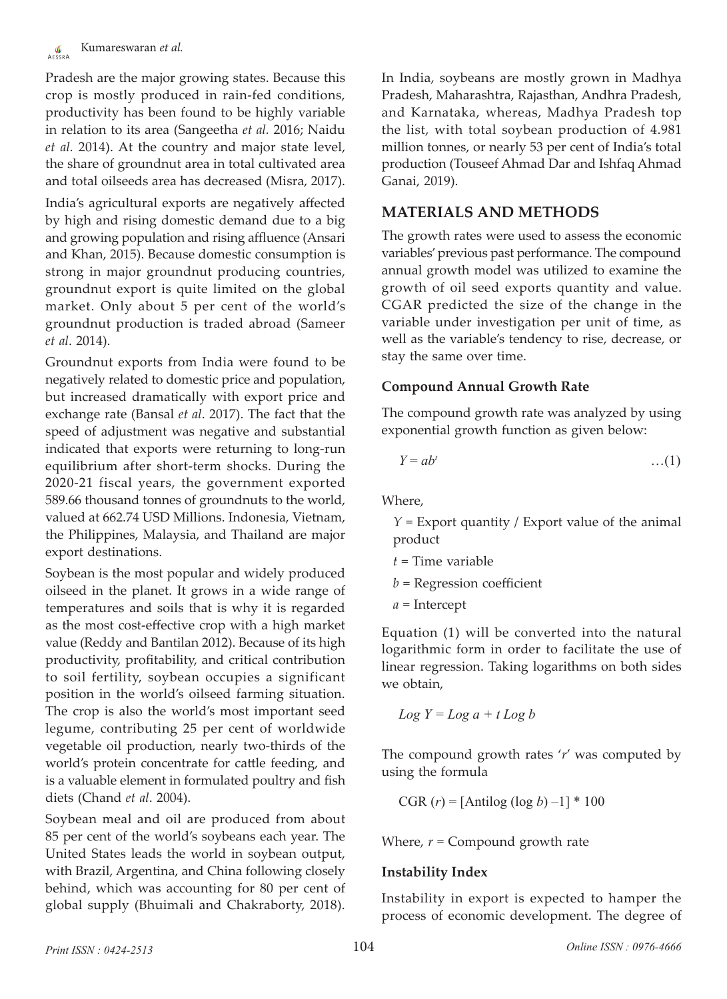Pradesh are the major growing states. Because this crop is mostly produced in rain-fed conditions, productivity has been found to be highly variable in relation to its area (Sangeetha *et al.* 2016; Naidu *et al.* 2014). At the country and major state level, the share of groundnut area in total cultivated area and total oilseeds area has decreased (Misra, 2017).

India's agricultural exports are negatively affected by high and rising domestic demand due to a big and growing population and rising affluence (Ansari and Khan, 2015). Because domestic consumption is strong in major groundnut producing countries, groundnut export is quite limited on the global market. Only about 5 per cent of the world's groundnut production is traded abroad (Sameer *et al*. 2014).

Groundnut exports from India were found to be negatively related to domestic price and population, but increased dramatically with export price and exchange rate (Bansal *et al*. 2017). The fact that the speed of adjustment was negative and substantial indicated that exports were returning to long-run equilibrium after short-term shocks. During the 2020-21 fiscal years, the government exported 589.66 thousand tonnes of groundnuts to the world, valued at 662.74 USD Millions. Indonesia, Vietnam, the Philippines, Malaysia, and Thailand are major export destinations.

Soybean is the most popular and widely produced oilseed in the planet. It grows in a wide range of temperatures and soils that is why it is regarded as the most cost-effective crop with a high market value (Reddy and Bantilan 2012). Because of its high productivity, profitability, and critical contribution to soil fertility, soybean occupies a significant position in the world's oilseed farming situation. The crop is also the world's most important seed legume, contributing 25 per cent of worldwide vegetable oil production, nearly two-thirds of the world's protein concentrate for cattle feeding, and is a valuable element in formulated poultry and fish diets (Chand *et al*. 2004).

Soybean meal and oil are produced from about 85 per cent of the world's soybeans each year. The United States leads the world in soybean output, with Brazil, Argentina, and China following closely behind, which was accounting for 80 per cent of global supply (Bhuimali and Chakraborty, 2018).

In India, soybeans are mostly grown in Madhya Pradesh, Maharashtra, Rajasthan, Andhra Pradesh, and Karnataka, whereas, Madhya Pradesh top the list, with total soybean production of 4.981 million tonnes, or nearly 53 per cent of India's total production (Touseef Ahmad Dar and Ishfaq Ahmad Ganai, 2019).

## **MATERIALS AND METHODS**

The growth rates were used to assess the economic variables' previous past performance. The compound annual growth model was utilized to examine the growth of oil seed exports quantity and value. CGAR predicted the size of the change in the variable under investigation per unit of time, as well as the variable's tendency to rise, decrease, or stay the same over time.

## **Compound Annual Growth Rate**

The compound growth rate was analyzed by using exponential growth function as given below:

$$
Y = ab^t \qquad \qquad \dots (1)
$$

Where,

*Y* = Export quantity / Export value of the animal product

- *t* = Time variable
- *b* = Regression coefficient
- *a* = Intercept

Equation (1) will be converted into the natural logarithmic form in order to facilitate the use of linear regression. Taking logarithms on both sides we obtain,

$$
Log Y = Log a + t Log b
$$

The compound growth rates '*r*' was computed by using the formula

CGR  $(r) = [\text{Antilog} (\log b) -1] * 100$ 

Where, *r* = Compound growth rate

## **Instability Index**

Instability in export is expected to hamper the process of economic development. The degree of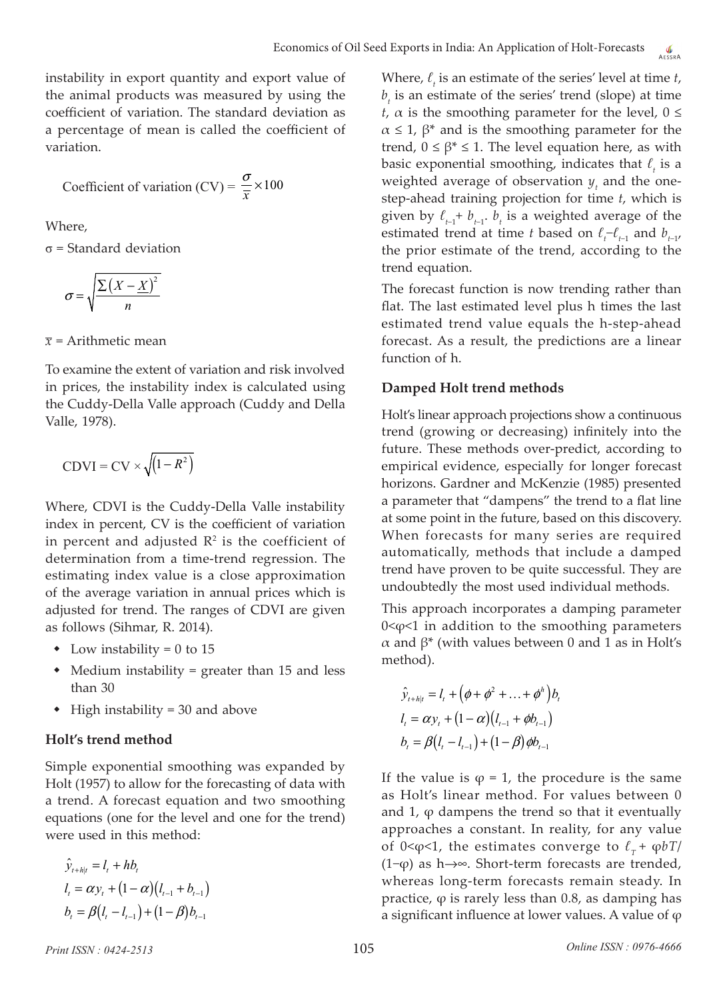instability in export quantity and export value of the animal products was measured by using the coefficient of variation. The standard deviation as a percentage of mean is called the coefficient of variation.

Coefficient of variation (CV) = 
$$
\frac{\sigma}{\overline{x}} \times 100
$$

Where,

σ = Standard deviation

$$
\sigma = \sqrt{\frac{\sum (X - \underline{X})^2}{n}}
$$

 $\bar{x}$  = Arithmetic mean

To examine the extent of variation and risk involved in prices, the instability index is calculated using the Cuddy-Della Valle approach (Cuddy and Della Valle, 1978).

$$
CDVI = CV \times \sqrt{(1 - R^2)}
$$

Where, CDVI is the Cuddy-Della Valle instability index in percent, CV is the coefficient of variation in percent and adjusted  $\mathbb{R}^2$  is the coefficient of determination from a time-trend regression. The estimating index value is a close approximation of the average variation in annual prices which is adjusted for trend. The ranges of CDVI are given as follows (Sihmar, R. 2014).

- Low instability = 0 to 15
- Medium instability = greater than 15 and less than 30
- $\triangleleft$  High instability = 30 and above

## **Holt's trend method**

Simple exponential smoothing was expanded by Holt (1957) to allow for the forecasting of data with a trend. A forecast equation and two smoothing equations (one for the level and one for the trend) were used in this method:

$$
\hat{y}_{t+h|t} = l_t + hb_t
$$
\n
$$
l_t = \alpha y_t + (1 - \alpha)(l_{t-1} + b_{t-1})
$$
\n
$$
b_t = \beta(l_t - l_{t-1}) + (1 - \beta)b_{t-1}
$$

Where, *ℓ<sup>t</sup>* is an estimate of the series' level at time *t*,  $b<sub>t</sub>$  is an estimate of the series' trend (slope) at time *t*,  $\alpha$  is the smoothing parameter for the level,  $0 \leq \alpha$  $\alpha \leq 1$ ,  $\beta^*$  and is the smoothing parameter for the trend,  $0 \le \beta^* \le 1$ . The level equation here, as with basic exponential smoothing, indicates that *ℓ<sup>t</sup>* is a weighted average of observation  $y_t$ , and the onestep-ahead training projection for time *t*, which is given by  $\ell_{t-1}$ +  $b_{t-1}$ .  $b_t$  is a weighted average of the estimated trend at time *t* based on  $\ell_t$ <sup>*-* $\ell$ <sub>*t*-1</sub></sub> and  $b$ <sub>*t*-1</sub>,</sup> the prior estimate of the trend, according to the trend equation.

The forecast function is now trending rather than flat. The last estimated level plus h times the last estimated trend value equals the h-step-ahead forecast. As a result, the predictions are a linear function of h.

## **Damped Holt trend methods**

Holt's linear approach projections show a continuous trend (growing or decreasing) infinitely into the future. These methods over-predict, according to empirical evidence, especially for longer forecast horizons. Gardner and McKenzie (1985) presented a parameter that "dampens" the trend to a flat line at some point in the future, based on this discovery. When forecasts for many series are required automatically, methods that include a damped trend have proven to be quite successful. They are undoubtedly the most used individual methods.

This approach incorporates a damping parameter  $0 < \varphi < 1$  in addition to the smoothing parameters α and β\* (with values between 0 and 1 as in Holt's method).

$$
\hat{y}_{t+h|t} = l_t + (\phi + \phi^2 + ... + \phi^h) b_t \n l_t = \alpha y_t + (1 - \alpha)(l_{t-1} + \phi b_{t-1}) \n b_t = \beta(l_t - l_{t-1}) + (1 - \beta) \phi b_{t-1}
$$

If the value is  $\varphi = 1$ , the procedure is the same as Holt's linear method. For values between 0 and  $1$ ,  $\varphi$  dampens the trend so that it eventually approaches a constant. In reality, for any value of 0<φ<1, the estimates converge to  $\ell_{\tau}$ + φ*bT*/ (1−ϕ) as h→∞. Short-term forecasts are trended, whereas long-term forecasts remain steady. In practice,  $\varphi$  is rarely less than 0.8, as damping has a significant influence at lower values. A value of  $\varphi$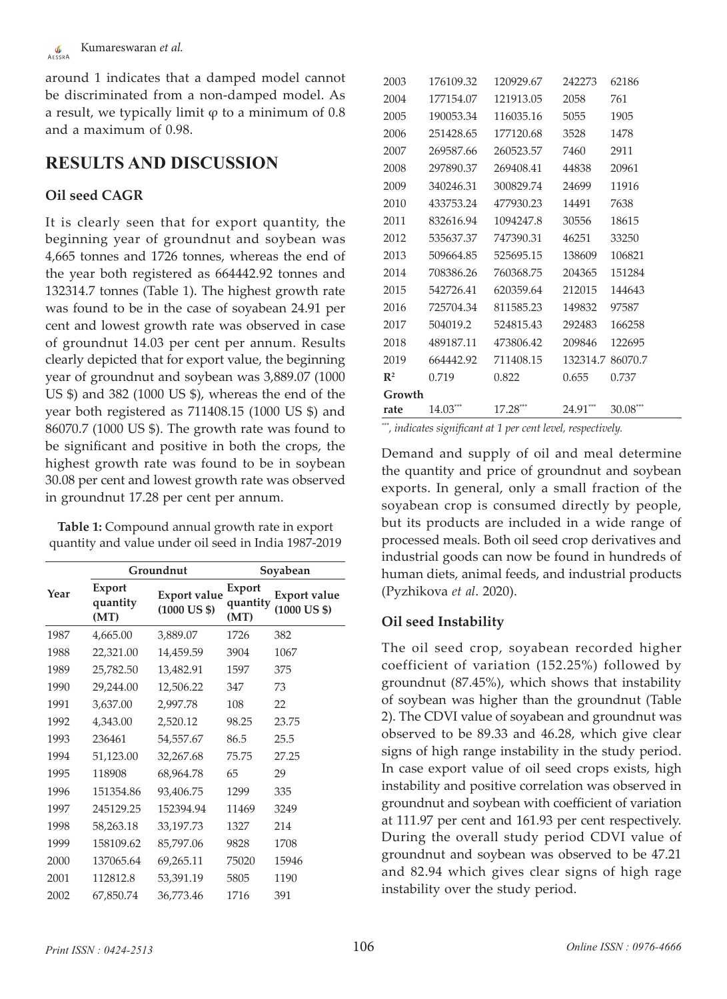around 1 indicates that a damped model cannot be discriminated from a non-damped model. As a result, we typically limit  $\varphi$  to a minimum of 0.8 and a maximum of 0.98.

## **RESULTS AND DISCUSSION**

## **Oil seed CAGR**

It is clearly seen that for export quantity, the beginning year of groundnut and soybean was 4,665 tonnes and 1726 tonnes, whereas the end of the year both registered as 664442.92 tonnes and 132314.7 tonnes (Table 1). The highest growth rate was found to be in the case of soyabean 24.91 per cent and lowest growth rate was observed in case of groundnut 14.03 per cent per annum. Results clearly depicted that for export value, the beginning year of groundnut and soybean was 3,889.07 (1000 US \$) and 382 (1000 US \$), whereas the end of the year both registered as 711408.15 (1000 US \$) and 86070.7 (1000 US \$). The growth rate was found to be significant and positive in both the crops, the highest growth rate was found to be in soybean 30.08 per cent and lowest growth rate was observed in groundnut 17.28 per cent per annum.

**Table 1:** Compound annual growth rate in export quantity and value under oil seed in India 1987-2019

|      |                            | Groundnut                                     | Soyabean                   |                                               |  |
|------|----------------------------|-----------------------------------------------|----------------------------|-----------------------------------------------|--|
| Year | Export<br>quantity<br>(MT) | <b>Export value</b><br>$(1000 \text{ US } $)$ | Export<br>quantity<br>(MT) | <b>Export value</b><br>$(1000 \text{ US } $)$ |  |
| 1987 | 4,665.00                   | 3,889.07                                      | 1726                       | 382                                           |  |
| 1988 | 22,321.00                  | 14,459.59                                     | 3904                       | 1067                                          |  |
| 1989 | 25,782.50                  | 13,482.91                                     | 1597                       | 375                                           |  |
| 1990 | 29,244.00                  | 12,506.22                                     | 347                        | 73                                            |  |
| 1991 | 3,637.00                   | 2,997.78                                      | 108                        | 22                                            |  |
| 1992 | 4,343.00                   | 2,520.12                                      | 98.25                      | 23.75                                         |  |
| 1993 | 236461                     | 54,557.67                                     | 86.5                       | 25.5                                          |  |
| 1994 | 51,123.00                  | 32,267.68                                     | 75.75                      | 27.25                                         |  |
| 1995 | 118908                     | 68,964.78                                     | 65                         | 29                                            |  |
| 1996 | 151354.86                  | 93,406.75                                     | 1299                       | 335                                           |  |
| 1997 | 245129.25                  | 152394.94                                     | 11469                      | 3249                                          |  |
| 1998 | 58,263.18                  | 33,197.73                                     | 1327                       | 214                                           |  |
| 1999 | 158109.62                  | 85,797.06                                     | 9828                       | 1708                                          |  |
| 2000 | 137065.64                  | 69,265.11                                     | 75020                      | 15946                                         |  |
| 2001 | 112812.8                   | 53,391.19                                     | 5805                       | 1190                                          |  |
| 2002 | 67,850.74                  | 36,773.46                                     | 1716                       | 391                                           |  |

| 2003           | 176109.32 | 120929.67 | 242273   | 62186    |
|----------------|-----------|-----------|----------|----------|
| 2004           | 177154.07 | 121913.05 | 2058     | 761      |
| 2005           | 190053.34 | 116035.16 | 5055     | 1905     |
| 2006           | 251428.65 | 177120.68 | 3528     | 1478     |
| 2007           | 269587.66 | 260523.57 | 7460     | 2911     |
| 2008           | 297890.37 | 269408.41 | 44838    | 20961    |
| 2009           | 340246.31 | 300829.74 | 24699    | 11916    |
| 2010           | 433753.24 | 477930.23 | 14491    | 7638     |
| 2011           | 832616.94 | 1094247.8 | 30556    | 18615    |
| 2012           | 535637.37 | 747390.31 | 46251    | 33250    |
| 2013           | 509664.85 | 525695.15 | 138609   | 106821   |
| 2014           | 708386.26 | 760368.75 | 204365   | 151284   |
| 2015           | 542726.41 | 620359.64 | 212015   | 144643   |
| 2016           | 725704.34 | 811585.23 | 149832   | 97587    |
| 2017           | 504019.2  | 524815.43 | 292483   | 166258   |
| 2018           | 489187.11 | 473806.42 | 209846   | 122695   |
| 2019           | 664442.92 | 711408.15 | 132314.7 | 86070.7  |
| $\mathbb{R}^2$ | 0.719     | 0.822     | 0.655    | 0.737    |
| Growth         |           |           |          |          |
| rate           | 14.03***  | 17.28**   | 24.91*** | 30.08*** |

*\*\*\*, indicates significant at 1 per cent level, respectively.*

Demand and supply of oil and meal determine the quantity and price of groundnut and soybean exports. In general, only a small fraction of the soyabean crop is consumed directly by people, but its products are included in a wide range of processed meals. Both oil seed crop derivatives and industrial goods can now be found in hundreds of human diets, animal feeds, and industrial products (Pyzhikova *et al*. 2020).

## **Oil seed Instability**

The oil seed crop, soyabean recorded higher coefficient of variation (152.25%) followed by groundnut (87.45%), which shows that instability of soybean was higher than the groundnut (Table 2). The CDVI value of soyabean and groundnut was observed to be 89.33 and 46.28, which give clear signs of high range instability in the study period. In case export value of oil seed crops exists, high instability and positive correlation was observed in groundnut and soybean with coefficient of variation at 111.97 per cent and 161.93 per cent respectively. During the overall study period CDVI value of groundnut and soybean was observed to be 47.21 and 82.94 which gives clear signs of high rage instability over the study period.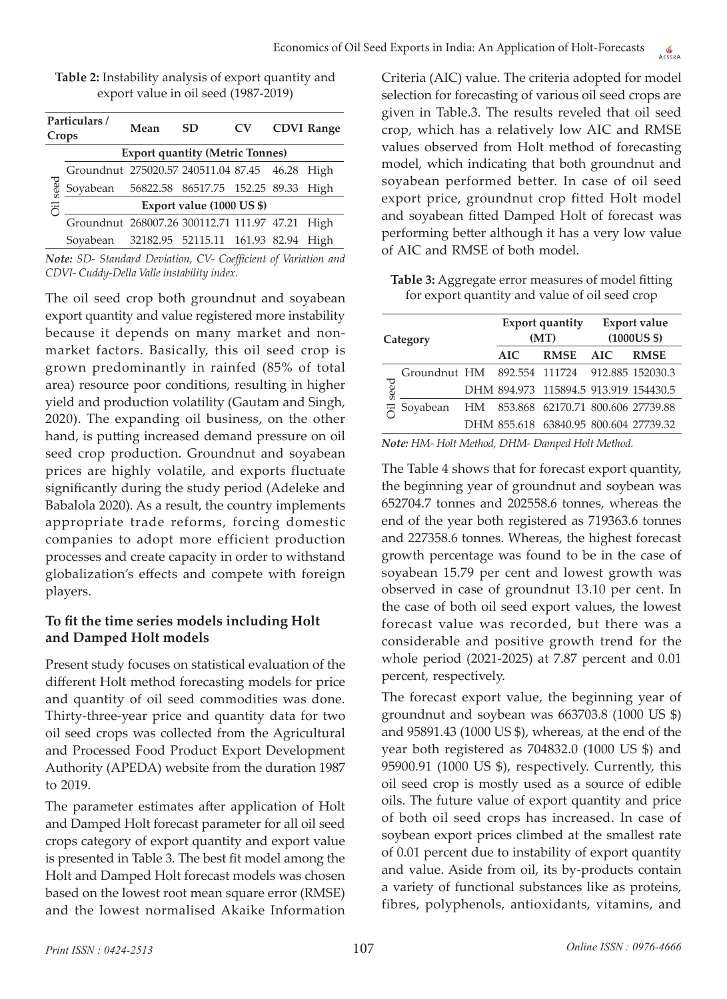| Table 2: Instability analysis of export quantity and |
|------------------------------------------------------|
| export value in oil seed (1987-2019)                 |

| Particulars/<br>Crops |                                                 | Mean                                   | <b>SD</b> | <b>CV</b> |  | <b>CDVI Range</b> |  |  |  |  |
|-----------------------|-------------------------------------------------|----------------------------------------|-----------|-----------|--|-------------------|--|--|--|--|
|                       |                                                 | <b>Export quantity (Metric Tonnes)</b> |           |           |  |                   |  |  |  |  |
| seed                  | Groundnut 275020.57 240511.04 87.45 46.28 High  |                                        |           |           |  |                   |  |  |  |  |
|                       | Soyabean 56822.58 86517.75 152.25 89.33 High    |                                        |           |           |  |                   |  |  |  |  |
|                       | Export value (1000 US \$)                       |                                        |           |           |  |                   |  |  |  |  |
|                       | Groundnut 268007.26 300112.71 111.97 47.21 High |                                        |           |           |  |                   |  |  |  |  |
|                       | Sovabean                                        | 32182.95 52115.11 161.93 82.94         |           |           |  | High              |  |  |  |  |

*Note: SD- Standard Deviation, CV- Coefficient of Variation and CDVI- Cuddy-Della Valle instability index.*

The oil seed crop both groundnut and soyabean export quantity and value registered more instability because it depends on many market and nonmarket factors. Basically, this oil seed crop is grown predominantly in rainfed (85% of total area) resource poor conditions, resulting in higher yield and production volatility (Gautam and Singh, 2020). The expanding oil business, on the other hand, is putting increased demand pressure on oil seed crop production. Groundnut and soyabean prices are highly volatile, and exports fluctuate significantly during the study period (Adeleke and Babalola 2020). As a result, the country implements appropriate trade reforms, forcing domestic companies to adopt more efficient production processes and create capacity in order to withstand globalization's effects and compete with foreign players.

## **To fit the time series models including Holt and Damped Holt models**

Present study focuses on statistical evaluation of the different Holt method forecasting models for price and quantity of oil seed commodities was done. Thirty-three-year price and quantity data for two oil seed crops was collected from the Agricultural and Processed Food Product Export Development Authority (APEDA) website from the duration 1987 to 2019.

The parameter estimates after application of Holt and Damped Holt forecast parameter for all oil seed crops category of export quantity and export value is presented in Table 3. The best fit model among the Holt and Damped Holt forecast models was chosen based on the lowest root mean square error (RMSE) and the lowest normalised Akaike Information

Criteria (AIC) value. The criteria adopted for model selection for forecasting of various oil seed crops are given in Table.3. The results reveled that oil seed crop, which has a relatively low AIC and RMSE values observed from Holt method of forecasting model, which indicating that both groundnut and soyabean performed better. In case of oil seed export price, groundnut crop fitted Holt model and soyabean fitted Damped Holt of forecast was performing better although it has a very low value of AIC and RMSE of both model.

**Table 3:** Aggregate error measures of model fitting for export quantity and value of oil seed crop

| Category |                                              |  |     | <b>Export quantity</b><br>(MT)        | <b>Export value</b><br>$(1000US \$ |             |  |
|----------|----------------------------------------------|--|-----|---------------------------------------|------------------------------------|-------------|--|
|          |                                              |  | AIC | <b>RMSE</b>                           | AIC                                | <b>RMSE</b> |  |
|          | Groundnut HM 892.554 111724 912.885 152030.3 |  |     |                                       |                                    |             |  |
| seed     |                                              |  |     | DHM 894.973 115894.5 913.919 154430.5 |                                    |             |  |
|          | 궁 Soyabean                                   |  |     | HM 853.868 62170.71 800.606 27739.88  |                                    |             |  |
|          |                                              |  |     | DHM 855.618 63840.95 800.604 27739.32 |                                    |             |  |

*Note: HM- Holt Method, DHM- Damped Holt Method.*

The Table 4 shows that for forecast export quantity, the beginning year of groundnut and soybean was 652704.7 tonnes and 202558.6 tonnes, whereas the end of the year both registered as 719363.6 tonnes and 227358.6 tonnes. Whereas, the highest forecast growth percentage was found to be in the case of soyabean 15.79 per cent and lowest growth was observed in case of groundnut 13.10 per cent. In the case of both oil seed export values, the lowest forecast value was recorded, but there was a considerable and positive growth trend for the whole period (2021-2025) at 7.87 percent and 0.01 percent, respectively.

The forecast export value, the beginning year of groundnut and soybean was 663703.8 (1000 US \$) and 95891.43 (1000 US \$), whereas, at the end of the year both registered as 704832.0 (1000 US \$) and 95900.91 (1000 US \$), respectively. Currently, this oil seed crop is mostly used as a source of edible oils. The future value of export quantity and price of both oil seed crops has increased. In case of soybean export prices climbed at the smallest rate of 0.01 percent due to instability of export quantity and value. Aside from oil, its by-products contain a variety of functional substances like as proteins, fibres, polyphenols, antioxidants, vitamins, and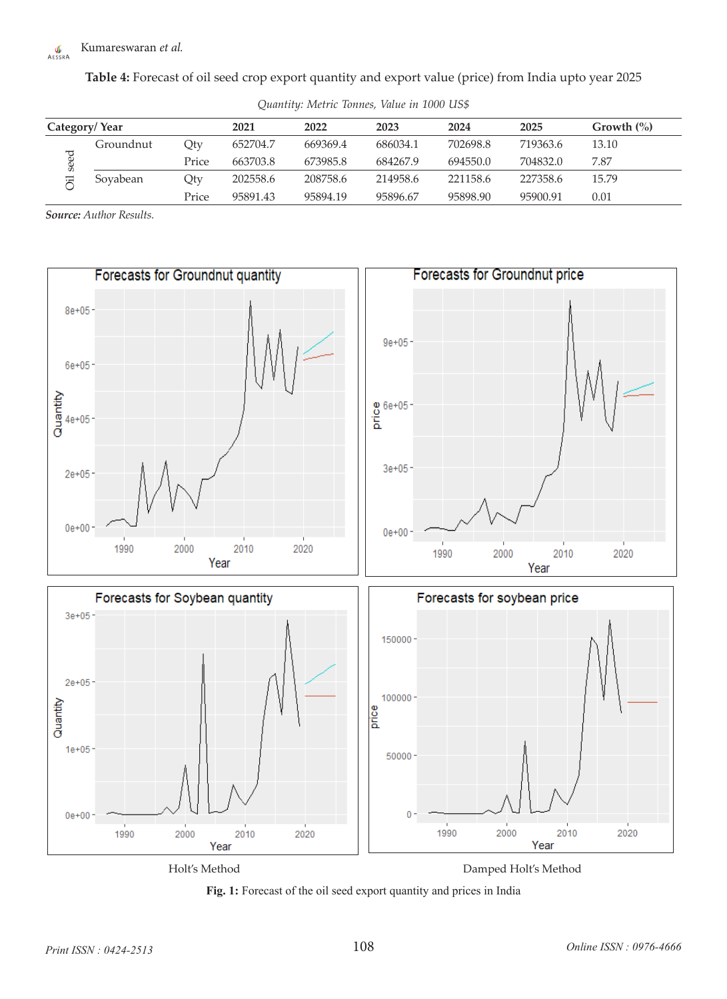#### Kumareswaran *et al.*  $\frac{\sqrt{v}}{AESSRA}$

**Table 4:** Forecast of oil seed crop export quantity and export value (price) from India upto year 2025

| Category/Year |           | 2021  | 2022     | 2023     | 2024     | 2025     | Growth $\frac{6}{6}$ |       |
|---------------|-----------|-------|----------|----------|----------|----------|----------------------|-------|
| eed<br>Ø<br>汩 | Groundnut | Qty   | 652704.7 | 669369.4 | 686034.1 | 702698.8 | 719363.6             | 13.10 |
|               |           | Price | 663703.8 | 673985.8 | 684267.9 | 694550.0 | 704832.0             | 7.87  |
|               | Soyabean  | Qty   | 202558.6 | 208758.6 | 214958.6 | 221158.6 | 227358.6             | 15.79 |
|               |           | Price | 95891.43 | 95894.19 | 95896.67 | 95898.90 | 95900.91             | 0.01  |

*Quantity: Metric Tonnes, Value in 1000 US\$*

*Source: Author Results.*